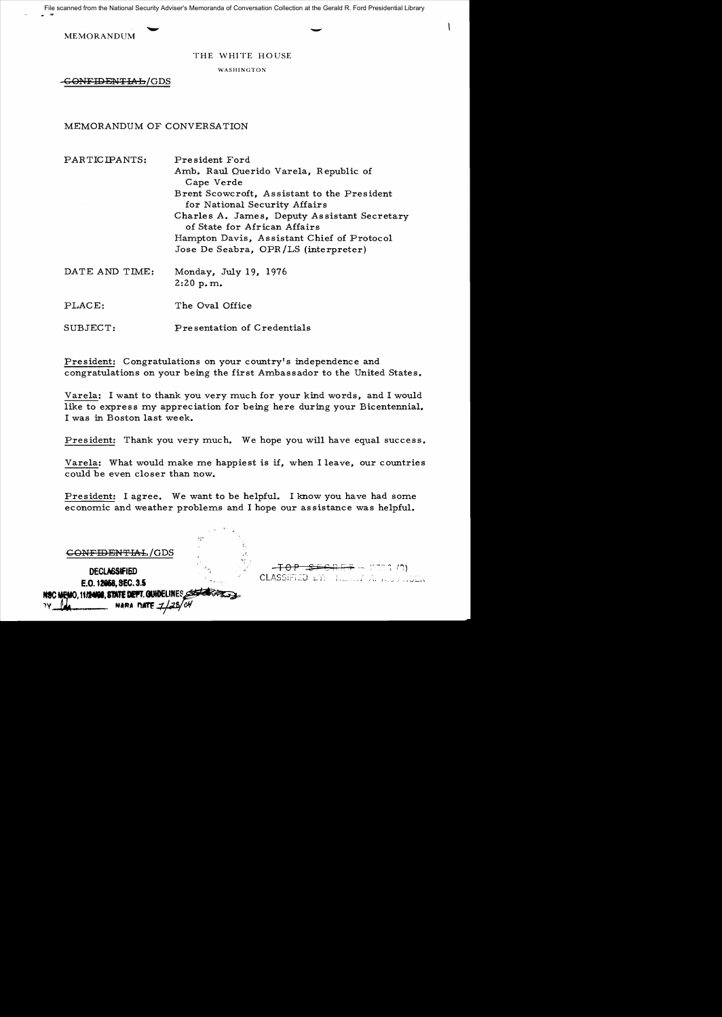File scanned from the National Security Adviser's Memoranda of Conversation Collection at the Gerald R. Ford Presidential Library

MEMORANDUM

 $\mathcal{I}_{\mathcal{I}}$ 

THE WHITE HOUSE

WASHINGTON

<del>-GONFIDENTIAL</del>/GDS

MEMORANDUM OF CONVERSATION

PARTICIPANTS: President Ford Amb. Raul Querido Varela, Republic of Cape Verde Brent Scowcroft, Assistant to the President for National Security Affairs Charles A. James, Deputy Assistant Secretary of State for African Affairs Hampton Davis, Assistant Chief of Protocol Jose De Seabra, OPR /LS (interpreter)

- DATE AND TIME: Monday, July 19, 1976 2:20 p. m.
- PLACE: The Oval Office
- SUBJECT: Pre sentation of Credentials

President: Congratulations on your country's independence and congratulations on your being the first Ambassador to the United States.

Varela: I want to thank you very much for your kind words, and I would like to express my appreciation for being here during your Bicentennial. I was in Boston last week.

President: Thank you very much. We hope you will have equal success.

Varela: What would make me happiest is if, when I leave, our countries could be even closer than now.

President: I agree. We want to be helpful. I know you have had some economic and weather problems and I hope our assistance was helpful.

|                                                                       | K. |                                                                         |
|-----------------------------------------------------------------------|----|-------------------------------------------------------------------------|
| <del>ONFIDENTIAL</del> /GDS                                           |    |                                                                         |
| <b>DECLASSIFIED</b><br>E.O. 12058, SEC. 3.5                           |    | $-FOP = 5 + 6 + F + 6 = 77.3 (2)$<br>CLASSIFIED DY: There I Almost NGEN |
| NSC MEMO, 11/24/00, STATE DEFT. GUIDELINES<br>NARA DATE 1/28/04<br>٦V |    |                                                                         |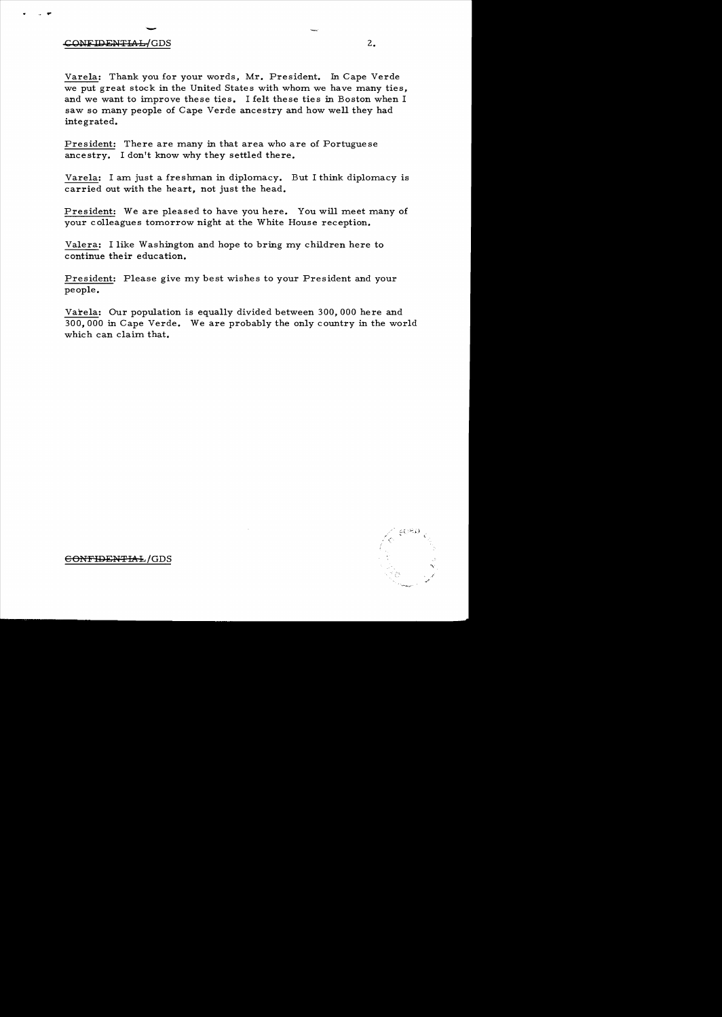## - CONFIDENTIAL/GDS 2.

>...

Varela: Thank you for your words, Mr. President. In Cape Verde we put great stock in the United States with whom we have many ties, and we want to improve these ties. I felt these ties in Boston when I saw so many people of Cape Verde ancestry and how well they had integrated.

President: There are many in that area who are of Portuguese ancestry. I don't know why they settled there.

Varela: I am just a freshman in diplomacy. But I think diplomacy is carried out with the heart, not just the head.

President: We are pleased to have you here. You will meet many of your colleagues tomorrow night at the White House reception.

Valera: I like Washington and hope to bring my children here to continue their education.

President: Please give my best wishes to your President and your people.

Varela: Our population is equally divided between 300, 000 here and 300, 000 in Cape Verde. We are probably the only country in the world which can claim that.



 $e$ ONFIDENTIAL/GDS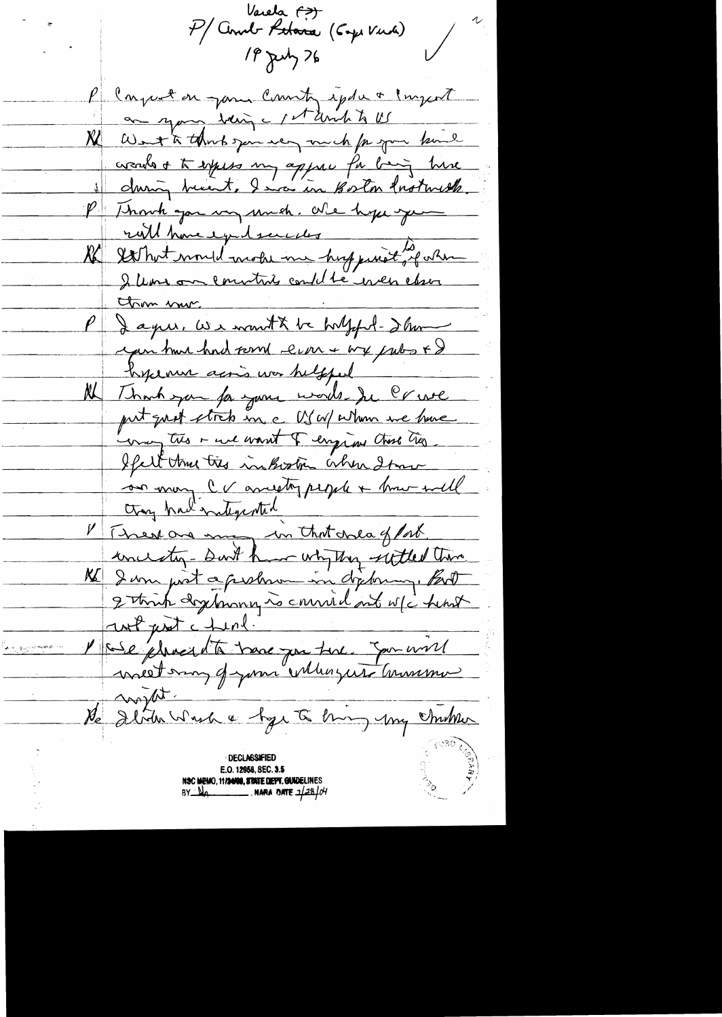Varela <del>(?)</del><br>P/ Comb Patara (Capi Vina) 18 July 76 P Conjust on your County epde a largest an your being a stand to US Ne West to think you very much for your band creads + to expess my appre fa big hire il during breast, I in Boston Instruste P Though you in much. We hypergum We set huit mould mobil in huge met de stan I leave on countries could be even clear Claim vous.<br>P Jague, We wont to holffel-d'hom you have had some ever + we palos + & hyunn acris was helpful Al Thank you for your words the Crue put quit strets in a US W/ Whom we have way this is used want of empire that they If all the tree inhorter when I have on mon cu anistry people + mondel I There are my in that ones of fort. unicenty- sunt have why they settled theme. K Jam post a probam in déponner. But unt just chirl. l'ase plus et de tous partire Jarus 11 He debte while styr to him you children **DECLASSIFIED** E.O. 12958, SEC. 3.5 NSC MEMO, 11/2008, STATE DEPT. GUIDELINES  $BY$   $M_{A}$   $\longrightarrow$  NARA DATE  $1/28/04$